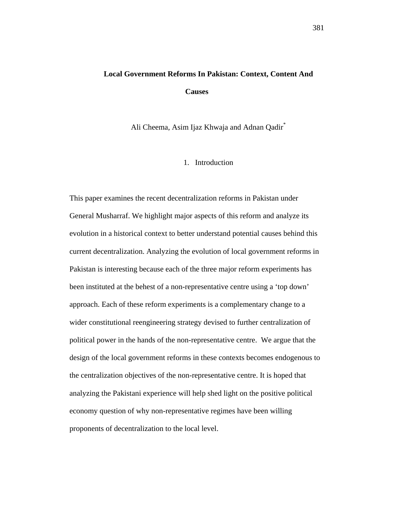# **Local Government Reforms In Pakistan: Context, Content And Causes**

Ali Cheema, Asim Ijaz Khwaja and Adnan Qadir\*

# 1. Introduction

This paper examines the recent decentralization reforms in Pakistan under General Musharraf. We highlight major aspects of this reform and analyze its evolution in a historical context to better understand potential causes behind this current decentralization. Analyzing the evolution of local government reforms in Pakistan is interesting because each of the three major reform experiments has been instituted at the behest of a non-representative centre using a 'top down' approach. Each of these reform experiments is a complementary change to a wider constitutional reengineering strategy devised to further centralization of political power in the hands of the non-representative centre. We argue that the design of the local government reforms in these contexts becomes endogenous to the centralization objectives of the non-representative centre. It is hoped that analyzing the Pakistani experience will help shed light on the positive political economy question of why non-representative regimes have been willing proponents of decentralization to the local level.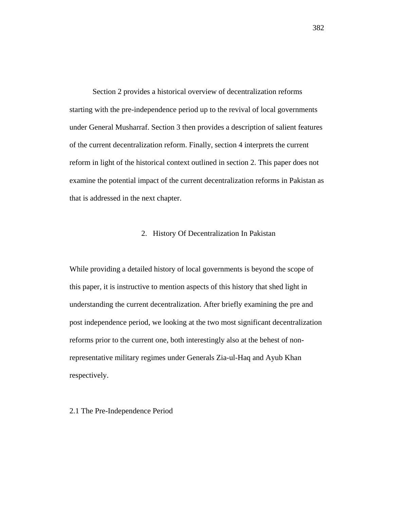Section 2 provides a historical overview of decentralization reforms starting with the pre-independence period up to the revival of local governments under General Musharraf. Section 3 then provides a description of salient features of the current decentralization reform. Finally, section 4 interprets the current reform in light of the historical context outlined in section 2. This paper does not examine the potential impact of the current decentralization reforms in Pakistan as that is addressed in the next chapter.

# 2. History Of Decentralization In Pakistan

While providing a detailed history of local governments is beyond the scope of this paper, it is instructive to mention aspects of this history that shed light in understanding the current decentralization. After briefly examining the pre and post independence period, we looking at the two most significant decentralization reforms prior to the current one, both interestingly also at the behest of nonrepresentative military regimes under Generals Zia-ul-Haq and Ayub Khan respectively.

2.1 The Pre-Independence Period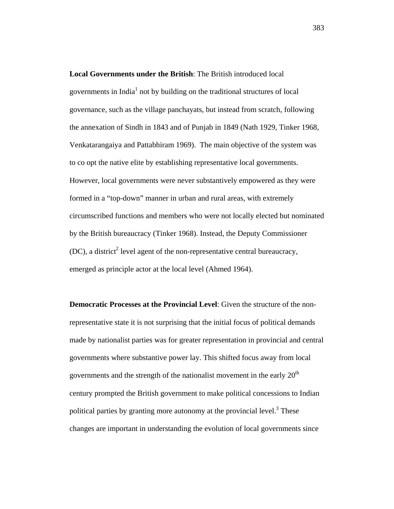**Local Governments under the British**: The British introduced local governments in India $<sup>1</sup>$  not by building on the traditional structures of local</sup> governance, such as the village panchayats, but instead from scratch, following the annexation of Sindh in 1843 and of Punjab in 1849 (Nath 1929, Tinker 1968, Venkatarangaiya and Pattabhiram 1969). The main objective of the system was to co opt the native elite by establishing representative local governments. However, local governments were never substantively empowered as they were formed in a "top-down" manner in urban and rural areas, with extremely circumscribed functions and members who were not locally elected but nominated by the British bureaucracy (Tinker 1968). Instead, the Deputy Commissioner  $(DC)$ , a district<sup>2</sup> level agent of the non-representative central bureaucracy, emerged as principle actor at the local level (Ahmed 1964).

**Democratic Processes at the Provincial Level**: Given the structure of the nonrepresentative state it is not surprising that the initial focus of political demands made by nationalist parties was for greater representation in provincial and central governments where substantive power lay. This shifted focus away from local governments and the strength of the nationalist movement in the early  $20<sup>th</sup>$ century prompted the British government to make political concessions to Indian political parties by granting more autonomy at the provincial level.<sup>3</sup> These changes are important in understanding the evolution of local governments since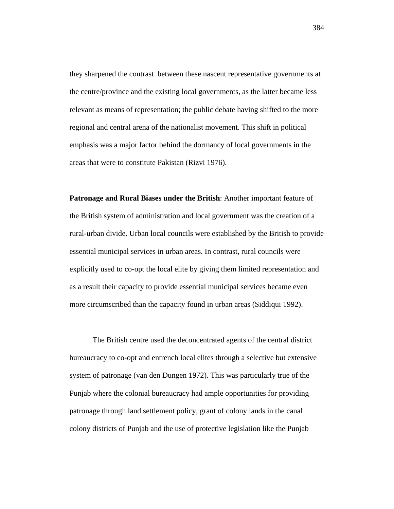they sharpened the contrast between these nascent representative governments at the centre/province and the existing local governments, as the latter became less relevant as means of representation; the public debate having shifted to the more regional and central arena of the nationalist movement. This shift in political emphasis was a major factor behind the dormancy of local governments in the areas that were to constitute Pakistan (Rizvi 1976).

**Patronage and Rural Biases under the British**: Another important feature of the British system of administration and local government was the creation of a rural-urban divide. Urban local councils were established by the British to provide essential municipal services in urban areas. In contrast, rural councils were explicitly used to co-opt the local elite by giving them limited representation and as a result their capacity to provide essential municipal services became even more circumscribed than the capacity found in urban areas (Siddiqui 1992).

The British centre used the deconcentrated agents of the central district bureaucracy to co-opt and entrench local elites through a selective but extensive system of patronage (van den Dungen 1972). This was particularly true of the Punjab where the colonial bureaucracy had ample opportunities for providing patronage through land settlement policy, grant of colony lands in the canal colony districts of Punjab and the use of protective legislation like the Punjab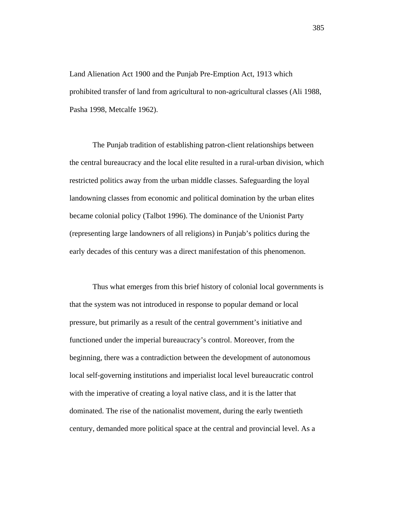Land Alienation Act 1900 and the Punjab Pre-Emption Act, 1913 which prohibited transfer of land from agricultural to non-agricultural classes (Ali 1988, Pasha 1998, Metcalfe 1962).

The Punjab tradition of establishing patron-client relationships between the central bureaucracy and the local elite resulted in a rural-urban division, which restricted politics away from the urban middle classes. Safeguarding the loyal landowning classes from economic and political domination by the urban elites became colonial policy (Talbot 1996). The dominance of the Unionist Party (representing large landowners of all religions) in Punjab's politics during the early decades of this century was a direct manifestation of this phenomenon.

Thus what emerges from this brief history of colonial local governments is that the system was not introduced in response to popular demand or local pressure, but primarily as a result of the central government's initiative and functioned under the imperial bureaucracy's control. Moreover, from the beginning, there was a contradiction between the development of autonomous local self-governing institutions and imperialist local level bureaucratic control with the imperative of creating a loyal native class, and it is the latter that dominated. The rise of the nationalist movement, during the early twentieth century, demanded more political space at the central and provincial level. As a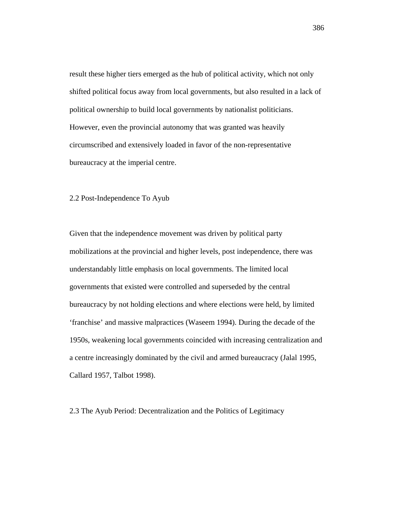result these higher tiers emerged as the hub of political activity, which not only shifted political focus away from local governments, but also resulted in a lack of political ownership to build local governments by nationalist politicians. However, even the provincial autonomy that was granted was heavily circumscribed and extensively loaded in favor of the non-representative bureaucracy at the imperial centre.

# 2.2 Post-Independence To Ayub

Given that the independence movement was driven by political party mobilizations at the provincial and higher levels, post independence, there was understandably little emphasis on local governments. The limited local governments that existed were controlled and superseded by the central bureaucracy by not holding elections and where elections were held, by limited 'franchise' and massive malpractices (Waseem 1994). During the decade of the 1950s, weakening local governments coincided with increasing centralization and a centre increasingly dominated by the civil and armed bureaucracy (Jalal 1995, Callard 1957, Talbot 1998).

2.3 The Ayub Period: Decentralization and the Politics of Legitimacy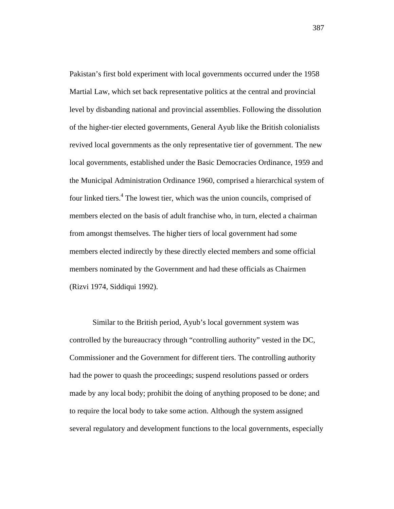Pakistan's first bold experiment with local governments occurred under the 1958 Martial Law, which set back representative politics at the central and provincial level by disbanding national and provincial assemblies. Following the dissolution of the higher-tier elected governments, General Ayub like the British colonialists revived local governments as the only representative tier of government. The new local governments, established under the Basic Democracies Ordinance, 1959 and the Municipal Administration Ordinance 1960, comprised a hierarchical system of four linked tiers.<sup>4</sup> The lowest tier, which was the union councils, comprised of members elected on the basis of adult franchise who, in turn, elected a chairman from amongst themselves. The higher tiers of local government had some members elected indirectly by these directly elected members and some official members nominated by the Government and had these officials as Chairmen (Rizvi 1974, Siddiqui 1992).

Similar to the British period, Ayub's local government system was controlled by the bureaucracy through "controlling authority" vested in the DC, Commissioner and the Government for different tiers. The controlling authority had the power to quash the proceedings; suspend resolutions passed or orders made by any local body; prohibit the doing of anything proposed to be done; and to require the local body to take some action. Although the system assigned several regulatory and development functions to the local governments, especially

387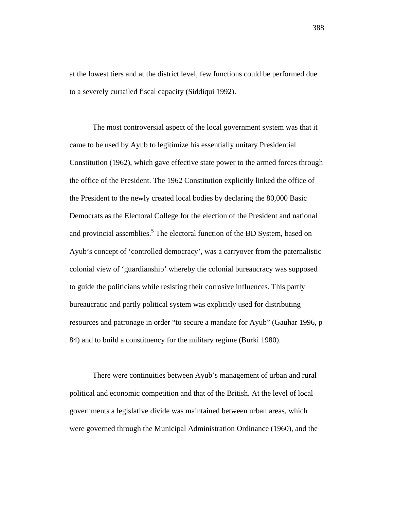at the lowest tiers and at the district level, few functions could be performed due to a severely curtailed fiscal capacity (Siddiqui 1992).

The most controversial aspect of the local government system was that it came to be used by Ayub to legitimize his essentially unitary Presidential Constitution (1962), which gave effective state power to the armed forces through the office of the President. The 1962 Constitution explicitly linked the office of the President to the newly created local bodies by declaring the 80,000 Basic Democrats as the Electoral College for the election of the President and national and provincial assemblies.<sup>5</sup> The electoral function of the BD System, based on Ayub's concept of 'controlled democracy', was a carryover from the paternalistic colonial view of 'guardianship' whereby the colonial bureaucracy was supposed to guide the politicians while resisting their corrosive influences. This partly bureaucratic and partly political system was explicitly used for distributing resources and patronage in order "to secure a mandate for Ayub" (Gauhar 1996, p 84) and to build a constituency for the military regime (Burki 1980).

There were continuities between Ayub's management of urban and rural political and economic competition and that of the British. At the level of local governments a legislative divide was maintained between urban areas, which were governed through the Municipal Administration Ordinance (1960), and the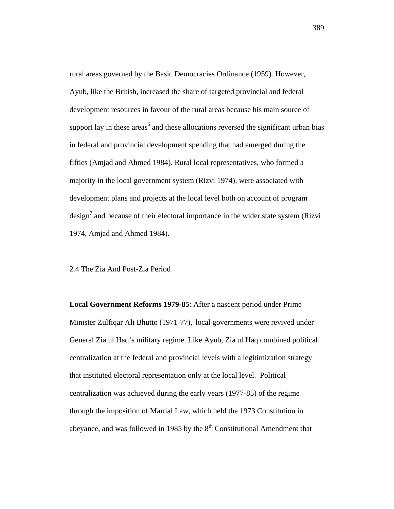rural areas governed by the Basic Democracies Ordinance (1959). However, Ayub, like the British, increased the share of targeted provincial and federal development resources in favour of the rural areas because his main source of support lay in these areas<sup>6</sup> and these allocations reversed the significant urban bias in federal and provincial development spending that had emerged during the fifties (Amjad and Ahmed 1984). Rural local representatives, who formed a majority in the local government system (Rizvi 1974), were associated with development plans and projects at the local level both on account of program design<sup>7</sup> and because of their electoral importance in the wider state system (Rizvi 1974, Amjad and Ahmed 1984).

# 2.4 The Zia And Post-Zia Period

**Local Government Reforms 1979-85**: After a nascent period under Prime Minister Zulfiqar Ali Bhutto (1971-77), local governments were revived under General Zia ul Haq's military regime. Like Ayub, Zia ul Haq combined political centralization at the federal and provincial levels with a legitimization strategy that instituted electoral representation only at the local level. Political centralization was achieved during the early years (1977-85) of the regime through the imposition of Martial Law, which held the 1973 Constitution in abeyance, and was followed in 1985 by the  $8<sup>th</sup>$  Constitutional Amendment that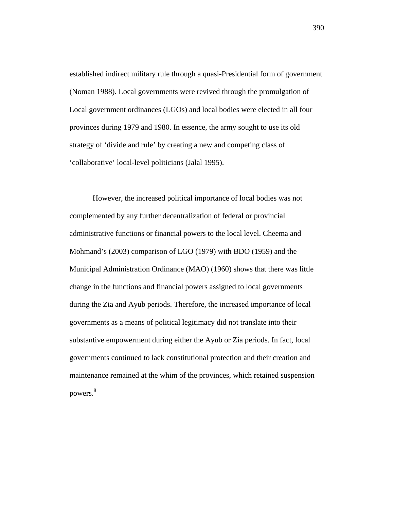established indirect military rule through a quasi-Presidential form of government (Noman 1988). Local governments were revived through the promulgation of Local government ordinances (LGOs) and local bodies were elected in all four provinces during 1979 and 1980. In essence, the army sought to use its old strategy of 'divide and rule' by creating a new and competing class of 'collaborative' local-level politicians (Jalal 1995).

However, the increased political importance of local bodies was not complemented by any further decentralization of federal or provincial administrative functions or financial powers to the local level. Cheema and Mohmand's (2003) comparison of LGO (1979) with BDO (1959) and the Municipal Administration Ordinance (MAO) (1960) shows that there was little change in the functions and financial powers assigned to local governments during the Zia and Ayub periods. Therefore, the increased importance of local governments as a means of political legitimacy did not translate into their substantive empowerment during either the Ayub or Zia periods. In fact, local governments continued to lack constitutional protection and their creation and maintenance remained at the whim of the provinces, which retained suspension powers.8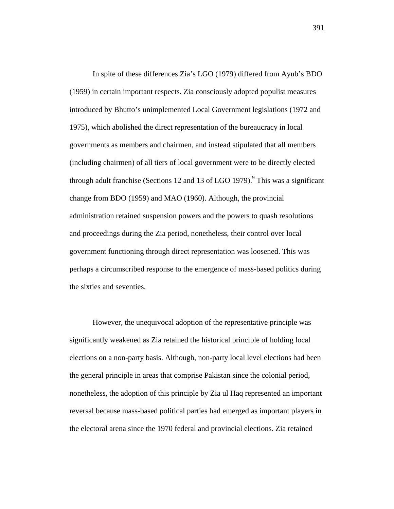In spite of these differences Zia's LGO (1979) differed from Ayub's BDO (1959) in certain important respects. Zia consciously adopted populist measures introduced by Bhutto's unimplemented Local Government legislations (1972 and 1975), which abolished the direct representation of the bureaucracy in local governments as members and chairmen, and instead stipulated that all members (including chairmen) of all tiers of local government were to be directly elected through adult franchise (Sections 12 and 13 of LGO 1979). $9$  This was a significant change from BDO (1959) and MAO (1960). Although, the provincial administration retained suspension powers and the powers to quash resolutions and proceedings during the Zia period, nonetheless, their control over local government functioning through direct representation was loosened. This was perhaps a circumscribed response to the emergence of mass-based politics during the sixties and seventies.

However, the unequivocal adoption of the representative principle was significantly weakened as Zia retained the historical principle of holding local elections on a non-party basis. Although, non-party local level elections had been the general principle in areas that comprise Pakistan since the colonial period, nonetheless, the adoption of this principle by Zia ul Haq represented an important reversal because mass-based political parties had emerged as important players in the electoral arena since the 1970 federal and provincial elections. Zia retained

391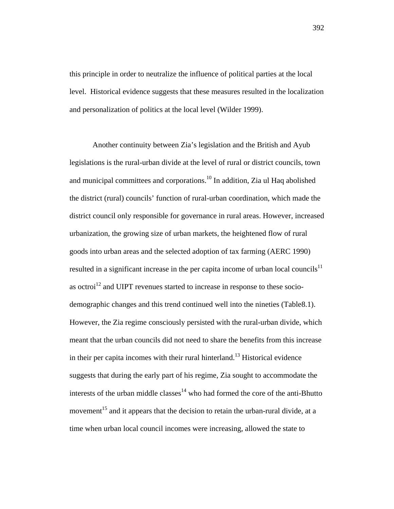this principle in order to neutralize the influence of political parties at the local level. Historical evidence suggests that these measures resulted in the localization and personalization of politics at the local level (Wilder 1999).

Another continuity between Zia's legislation and the British and Ayub legislations is the rural-urban divide at the level of rural or district councils, town and municipal committees and corporations.10 In addition, Zia ul Haq abolished the district (rural) councils' function of rural-urban coordination, which made the district council only responsible for governance in rural areas. However, increased urbanization, the growing size of urban markets, the heightened flow of rural goods into urban areas and the selected adoption of tax farming (AERC 1990) resulted in a significant increase in the per capita income of urban local councils<sup>11</sup> as octroi<sup>12</sup> and UIPT revenues started to increase in response to these sociodemographic changes and this trend continued well into the nineties (Table8.1). However, the Zia regime consciously persisted with the rural-urban divide, which meant that the urban councils did not need to share the benefits from this increase in their per capita incomes with their rural hinterland.<sup>13</sup> Historical evidence suggests that during the early part of his regime, Zia sought to accommodate the interests of the urban middle classes<sup>14</sup> who had formed the core of the anti-Bhutto movement<sup>15</sup> and it appears that the decision to retain the urban-rural divide, at a time when urban local council incomes were increasing, allowed the state to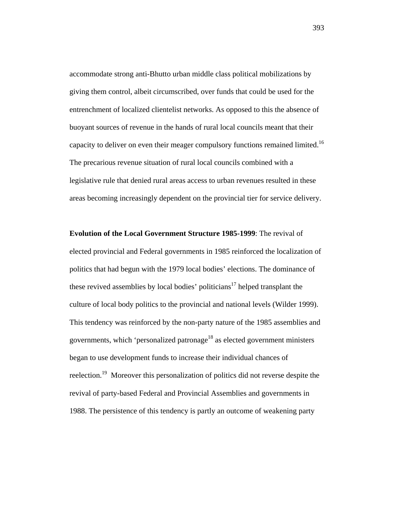accommodate strong anti-Bhutto urban middle class political mobilizations by giving them control, albeit circumscribed, over funds that could be used for the entrenchment of localized clientelist networks. As opposed to this the absence of buoyant sources of revenue in the hands of rural local councils meant that their capacity to deliver on even their meager compulsory functions remained limited.<sup>16</sup> The precarious revenue situation of rural local councils combined with a legislative rule that denied rural areas access to urban revenues resulted in these areas becoming increasingly dependent on the provincial tier for service delivery.

**Evolution of the Local Government Structure 1985-1999**: The revival of elected provincial and Federal governments in 1985 reinforced the localization of politics that had begun with the 1979 local bodies' elections. The dominance of these revived assemblies by local bodies' politicians<sup>17</sup> helped transplant the culture of local body politics to the provincial and national levels (Wilder 1999). This tendency was reinforced by the non-party nature of the 1985 assemblies and governments, which 'personalized patronage<sup>18</sup> as elected government ministers began to use development funds to increase their individual chances of reelection.<sup>19</sup> Moreover this personalization of politics did not reverse despite the revival of party-based Federal and Provincial Assemblies and governments in 1988. The persistence of this tendency is partly an outcome of weakening party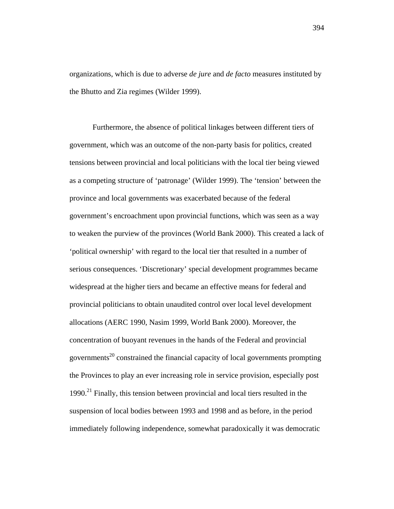organizations, which is due to adverse *de jure* and *de facto* measures instituted by the Bhutto and Zia regimes (Wilder 1999).

Furthermore, the absence of political linkages between different tiers of government, which was an outcome of the non-party basis for politics, created tensions between provincial and local politicians with the local tier being viewed as a competing structure of 'patronage' (Wilder 1999). The 'tension' between the province and local governments was exacerbated because of the federal government's encroachment upon provincial functions, which was seen as a way to weaken the purview of the provinces (World Bank 2000). This created a lack of 'political ownership' with regard to the local tier that resulted in a number of serious consequences. 'Discretionary' special development programmes became widespread at the higher tiers and became an effective means for federal and provincial politicians to obtain unaudited control over local level development allocations (AERC 1990, Nasim 1999, World Bank 2000). Moreover, the concentration of buoyant revenues in the hands of the Federal and provincial governments<sup>20</sup> constrained the financial capacity of local governments prompting the Provinces to play an ever increasing role in service provision, especially post  $1990.<sup>21</sup>$  Finally, this tension between provincial and local tiers resulted in the suspension of local bodies between 1993 and 1998 and as before, in the period immediately following independence, somewhat paradoxically it was democratic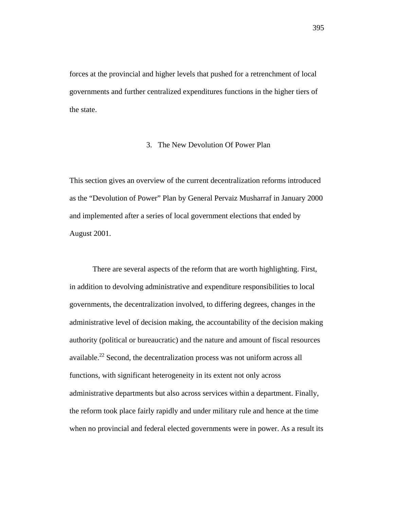forces at the provincial and higher levels that pushed for a retrenchment of local governments and further centralized expenditures functions in the higher tiers of the state.

# 3. The New Devolution Of Power Plan

This section gives an overview of the current decentralization reforms introduced as the "Devolution of Power" Plan by General Pervaiz Musharraf in January 2000 and implemented after a series of local government elections that ended by August 2001.

There are several aspects of the reform that are worth highlighting. First, in addition to devolving administrative and expenditure responsibilities to local governments, the decentralization involved, to differing degrees, changes in the administrative level of decision making, the accountability of the decision making authority (political or bureaucratic) and the nature and amount of fiscal resources available.<sup>22</sup> Second, the decentralization process was not uniform across all functions, with significant heterogeneity in its extent not only across administrative departments but also across services within a department. Finally, the reform took place fairly rapidly and under military rule and hence at the time when no provincial and federal elected governments were in power. As a result its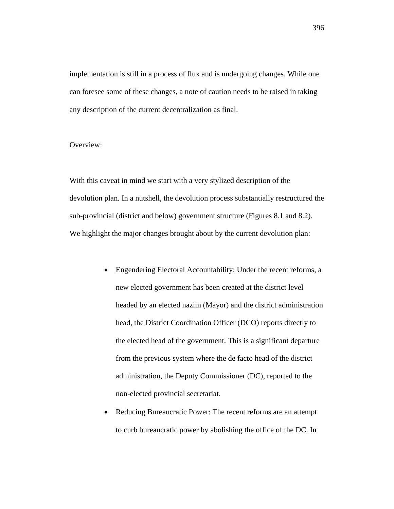implementation is still in a process of flux and is undergoing changes. While one can foresee some of these changes, a note of caution needs to be raised in taking any description of the current decentralization as final.

# Overview:

With this caveat in mind we start with a very stylized description of the devolution plan. In a nutshell, the devolution process substantially restructured the sub-provincial (district and below) government structure (Figures 8.1 and 8.2). We highlight the major changes brought about by the current devolution plan:

- Engendering Electoral Accountability: Under the recent reforms, a new elected government has been created at the district level headed by an elected nazim (Mayor) and the district administration head, the District Coordination Officer (DCO) reports directly to the elected head of the government. This is a significant departure from the previous system where the de facto head of the district administration, the Deputy Commissioner (DC), reported to the non-elected provincial secretariat.
- Reducing Bureaucratic Power: The recent reforms are an attempt to curb bureaucratic power by abolishing the office of the DC. In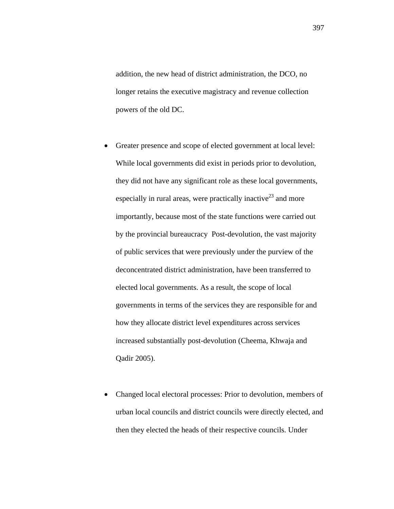addition, the new head of district administration, the DCO, no longer retains the executive magistracy and revenue collection powers of the old DC.

- Greater presence and scope of elected government at local level: While local governments did exist in periods prior to devolution, they did not have any significant role as these local governments, especially in rural areas, were practically inactive<sup>23</sup> and more importantly, because most of the state functions were carried out by the provincial bureaucracy Post-devolution, the vast majority of public services that were previously under the purview of the deconcentrated district administration, have been transferred to elected local governments. As a result, the scope of local governments in terms of the services they are responsible for and how they allocate district level expenditures across services increased substantially post-devolution (Cheema, Khwaja and Qadir 2005).
- Changed local electoral processes: Prior to devolution, members of urban local councils and district councils were directly elected, and then they elected the heads of their respective councils. Under

397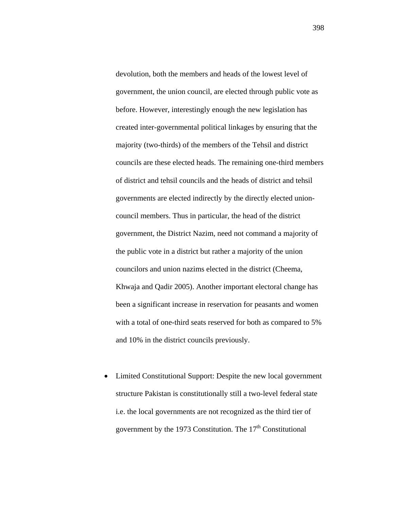devolution, both the members and heads of the lowest level of government, the union council, are elected through public vote as before. However, interestingly enough the new legislation has created inter-governmental political linkages by ensuring that the majority (two-thirds) of the members of the Tehsil and district councils are these elected heads. The remaining one-third members of district and tehsil councils and the heads of district and tehsil governments are elected indirectly by the directly elected unioncouncil members. Thus in particular, the head of the district government, the District Nazim, need not command a majority of the public vote in a district but rather a majority of the union councilors and union nazims elected in the district (Cheema, Khwaja and Qadir 2005). Another important electoral change has been a significant increase in reservation for peasants and women with a total of one-third seats reserved for both as compared to 5% and 10% in the district councils previously.

• Limited Constitutional Support: Despite the new local government structure Pakistan is constitutionally still a two-level federal state i.e. the local governments are not recognized as the third tier of government by the 1973 Constitution. The  $17<sup>th</sup>$  Constitutional

398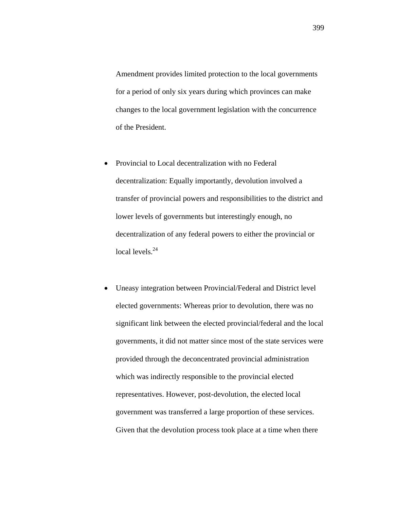Amendment provides limited protection to the local governments for a period of only six years during which provinces can make changes to the local government legislation with the concurrence of the President.

- Provincial to Local decentralization with no Federal decentralization: Equally importantly, devolution involved a transfer of provincial powers and responsibilities to the district and lower levels of governments but interestingly enough, no decentralization of any federal powers to either the provincial or local levels. $24$
- Uneasy integration between Provincial/Federal and District level elected governments: Whereas prior to devolution, there was no significant link between the elected provincial/federal and the local governments, it did not matter since most of the state services were provided through the deconcentrated provincial administration which was indirectly responsible to the provincial elected representatives. However, post-devolution, the elected local government was transferred a large proportion of these services. Given that the devolution process took place at a time when there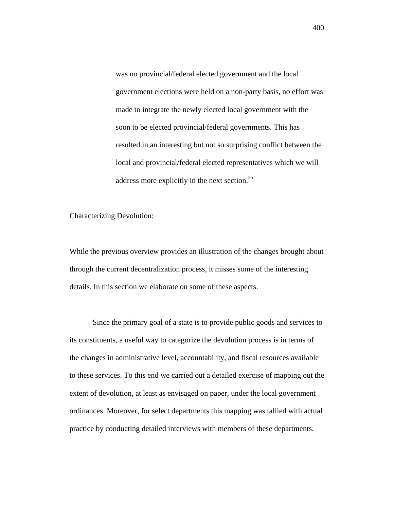was no provincial/federal elected government and the local government elections were held on a non-party basis, no effort was made to integrate the newly elected local government with the soon to be elected provincial/federal governments. This has resulted in an interesting but not so surprising conflict between the local and provincial/federal elected representatives which we will address more explicitly in the next section.25

Characterizing Devolution:

While the previous overview provides an illustration of the changes brought about through the current decentralization process, it misses some of the interesting details. In this section we elaborate on some of these aspects.

Since the primary goal of a state is to provide public goods and services to its constituents, a useful way to categorize the devolution process is in terms of the changes in administrative level, accountability, and fiscal resources available to these services. To this end we carried out a detailed exercise of mapping out the extent of devolution, at least as envisaged on paper, under the local government ordinances. Moreover, for select departments this mapping was tallied with actual practice by conducting detailed interviews with members of these departments.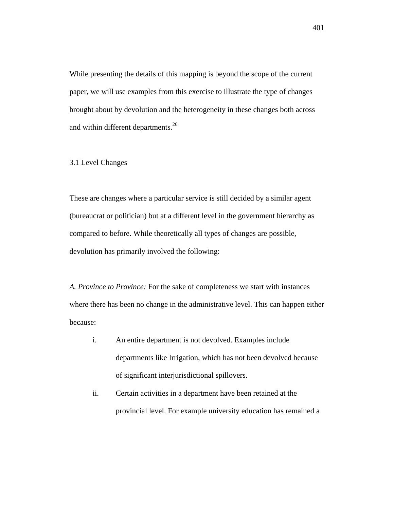While presenting the details of this mapping is beyond the scope of the current paper, we will use examples from this exercise to illustrate the type of changes brought about by devolution and the heterogeneity in these changes both across and within different departments.<sup>26</sup>

# 3.1 Level Changes

These are changes where a particular service is still decided by a similar agent (bureaucrat or politician) but at a different level in the government hierarchy as compared to before. While theoretically all types of changes are possible, devolution has primarily involved the following:

*A. Province to Province:* For the sake of completeness we start with instances where there has been no change in the administrative level. This can happen either because:

- i. An entire department is not devolved. Examples include departments like Irrigation, which has not been devolved because of significant interjurisdictional spillovers.
- ii. Certain activities in a department have been retained at the provincial level. For example university education has remained a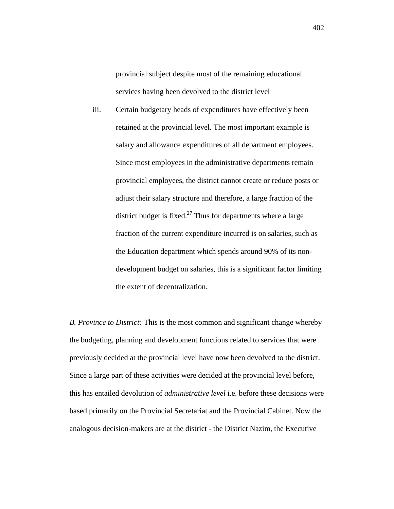provincial subject despite most of the remaining educational services having been devolved to the district level

iii. Certain budgetary heads of expenditures have effectively been retained at the provincial level. The most important example is salary and allowance expenditures of all department employees. Since most employees in the administrative departments remain provincial employees, the district cannot create or reduce posts or adjust their salary structure and therefore, a large fraction of the district budget is fixed.<sup>27</sup> Thus for departments where a large fraction of the current expenditure incurred is on salaries, such as the Education department which spends around 90% of its nondevelopment budget on salaries, this is a significant factor limiting the extent of decentralization.

*B. Province to District:* This is the most common and significant change whereby the budgeting, planning and development functions related to services that were previously decided at the provincial level have now been devolved to the district. Since a large part of these activities were decided at the provincial level before, this has entailed devolution of *administrative level* i.e. before these decisions were based primarily on the Provincial Secretariat and the Provincial Cabinet. Now the analogous decision-makers are at the district - the District Nazim, the Executive

402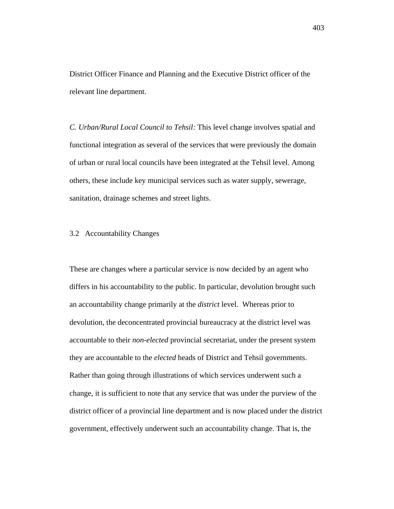District Officer Finance and Planning and the Executive District officer of the relevant line department.

*C. Urban/Rural Local Council to Tehsil:* This level change involves spatial and functional integration as several of the services that were previously the domain of urban or rural local councils have been integrated at the Tehsil level. Among others, these include key municipal services such as water supply, sewerage, sanitation, drainage schemes and street lights.

# 3.2 Accountability Changes

These are changes where a particular service is now decided by an agent who differs in his accountability to the public. In particular, devolution brought such an accountability change primarily at the *district* level. Whereas prior to devolution, the deconcentrated provincial bureaucracy at the district level was accountable to their *non-elected* provincial secretariat, under the present system they are accountable to the *elected* heads of District and Tehsil governments. Rather than going through illustrations of which services underwent such a change, it is sufficient to note that any service that was under the purview of the district officer of a provincial line department and is now placed under the district government, effectively underwent such an accountability change. That is, the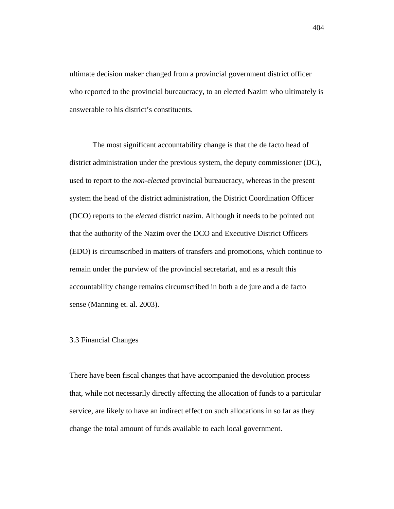ultimate decision maker changed from a provincial government district officer who reported to the provincial bureaucracy, to an elected Nazim who ultimately is answerable to his district's constituents.

The most significant accountability change is that the de facto head of district administration under the previous system, the deputy commissioner (DC), used to report to the *non-elected* provincial bureaucracy, whereas in the present system the head of the district administration, the District Coordination Officer (DCO) reports to the *elected* district nazim. Although it needs to be pointed out that the authority of the Nazim over the DCO and Executive District Officers (EDO) is circumscribed in matters of transfers and promotions, which continue to remain under the purview of the provincial secretariat, and as a result this accountability change remains circumscribed in both a de jure and a de facto sense (Manning et. al. 2003).

# 3.3 Financial Changes

There have been fiscal changes that have accompanied the devolution process that, while not necessarily directly affecting the allocation of funds to a particular service, are likely to have an indirect effect on such allocations in so far as they change the total amount of funds available to each local government.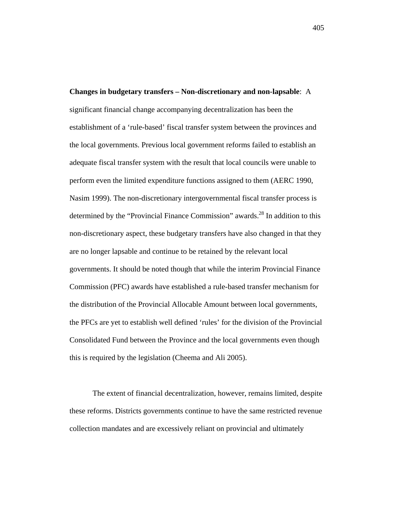**Changes in budgetary transfers – Non-discretionary and non-lapsable**: A significant financial change accompanying decentralization has been the establishment of a 'rule-based' fiscal transfer system between the provinces and the local governments. Previous local government reforms failed to establish an adequate fiscal transfer system with the result that local councils were unable to perform even the limited expenditure functions assigned to them (AERC 1990, Nasim 1999). The non-discretionary intergovernmental fiscal transfer process is determined by the "Provincial Finance Commission" awards.<sup>28</sup> In addition to this non-discretionary aspect, these budgetary transfers have also changed in that they are no longer lapsable and continue to be retained by the relevant local governments. It should be noted though that while the interim Provincial Finance Commission (PFC) awards have established a rule-based transfer mechanism for the distribution of the Provincial Allocable Amount between local governments, the PFCs are yet to establish well defined 'rules' for the division of the Provincial Consolidated Fund between the Province and the local governments even though this is required by the legislation (Cheema and Ali 2005).

The extent of financial decentralization, however, remains limited, despite these reforms. Districts governments continue to have the same restricted revenue collection mandates and are excessively reliant on provincial and ultimately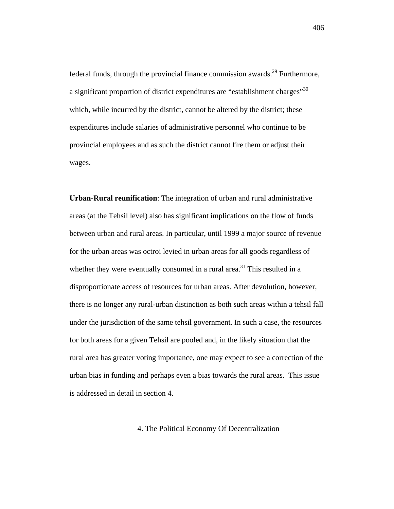federal funds, through the provincial finance commission awards.<sup>29</sup> Furthermore, a significant proportion of district expenditures are "establishment charges"<sup>30</sup> which, while incurred by the district, cannot be altered by the district; these expenditures include salaries of administrative personnel who continue to be provincial employees and as such the district cannot fire them or adjust their wages.

**Urban-Rural reunification**: The integration of urban and rural administrative areas (at the Tehsil level) also has significant implications on the flow of funds between urban and rural areas. In particular, until 1999 a major source of revenue for the urban areas was octroi levied in urban areas for all goods regardless of whether they were eventually consumed in a rural area.<sup>31</sup> This resulted in a disproportionate access of resources for urban areas. After devolution, however, there is no longer any rural-urban distinction as both such areas within a tehsil fall under the jurisdiction of the same tehsil government. In such a case, the resources for both areas for a given Tehsil are pooled and, in the likely situation that the rural area has greater voting importance, one may expect to see a correction of the urban bias in funding and perhaps even a bias towards the rural areas. This issue is addressed in detail in section 4.

4. The Political Economy Of Decentralization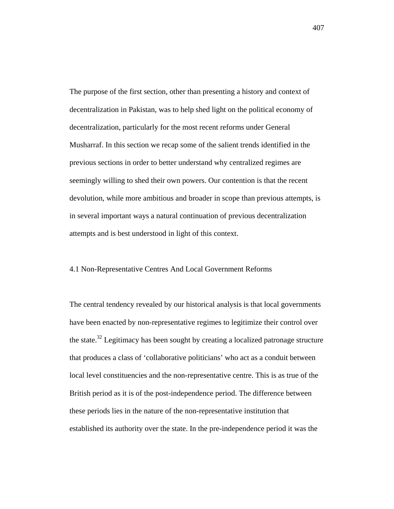The purpose of the first section, other than presenting a history and context of decentralization in Pakistan, was to help shed light on the political economy of decentralization, particularly for the most recent reforms under General Musharraf. In this section we recap some of the salient trends identified in the previous sections in order to better understand why centralized regimes are seemingly willing to shed their own powers. Our contention is that the recent devolution, while more ambitious and broader in scope than previous attempts, is in several important ways a natural continuation of previous decentralization attempts and is best understood in light of this context.

# 4.1 Non-Representative Centres And Local Government Reforms

The central tendency revealed by our historical analysis is that local governments have been enacted by non-representative regimes to legitimize their control over the state.<sup>32</sup> Legitimacy has been sought by creating a localized patronage structure that produces a class of 'collaborative politicians' who act as a conduit between local level constituencies and the non-representative centre. This is as true of the British period as it is of the post-independence period. The difference between these periods lies in the nature of the non-representative institution that established its authority over the state. In the pre-independence period it was the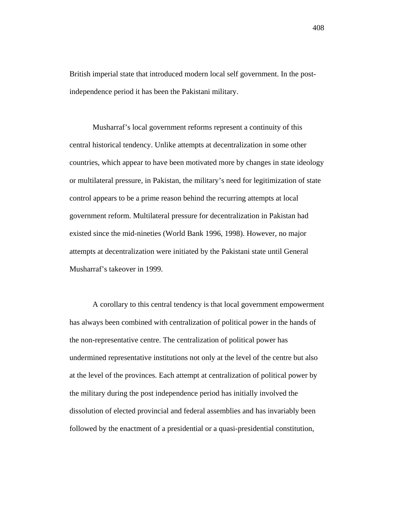British imperial state that introduced modern local self government. In the postindependence period it has been the Pakistani military.

Musharraf's local government reforms represent a continuity of this central historical tendency. Unlike attempts at decentralization in some other countries, which appear to have been motivated more by changes in state ideology or multilateral pressure, in Pakistan, the military's need for legitimization of state control appears to be a prime reason behind the recurring attempts at local government reform. Multilateral pressure for decentralization in Pakistan had existed since the mid-nineties (World Bank 1996, 1998). However, no major attempts at decentralization were initiated by the Pakistani state until General Musharraf's takeover in 1999.

A corollary to this central tendency is that local government empowerment has always been combined with centralization of political power in the hands of the non-representative centre. The centralization of political power has undermined representative institutions not only at the level of the centre but also at the level of the provinces. Each attempt at centralization of political power by the military during the post independence period has initially involved the dissolution of elected provincial and federal assemblies and has invariably been followed by the enactment of a presidential or a quasi-presidential constitution,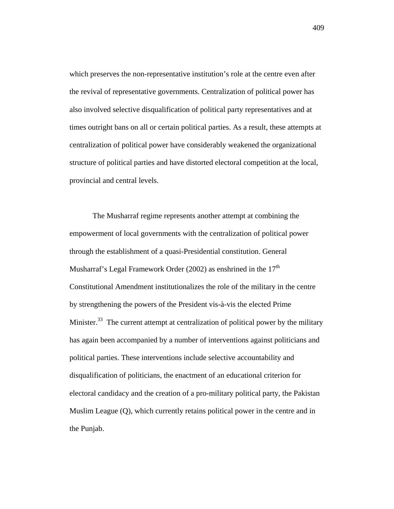which preserves the non-representative institution's role at the centre even after the revival of representative governments. Centralization of political power has also involved selective disqualification of political party representatives and at times outright bans on all or certain political parties. As a result, these attempts at centralization of political power have considerably weakened the organizational structure of political parties and have distorted electoral competition at the local, provincial and central levels.

The Musharraf regime represents another attempt at combining the empowerment of local governments with the centralization of political power through the establishment of a quasi-Presidential constitution. General Musharraf's Legal Framework Order (2002) as enshrined in the  $17<sup>th</sup>$ Constitutional Amendment institutionalizes the role of the military in the centre by strengthening the powers of the President vis-à-vis the elected Prime Minister.<sup>33</sup> The current attempt at centralization of political power by the military has again been accompanied by a number of interventions against politicians and political parties. These interventions include selective accountability and disqualification of politicians, the enactment of an educational criterion for electoral candidacy and the creation of a pro-military political party, the Pakistan Muslim League (Q), which currently retains political power in the centre and in the Punjab.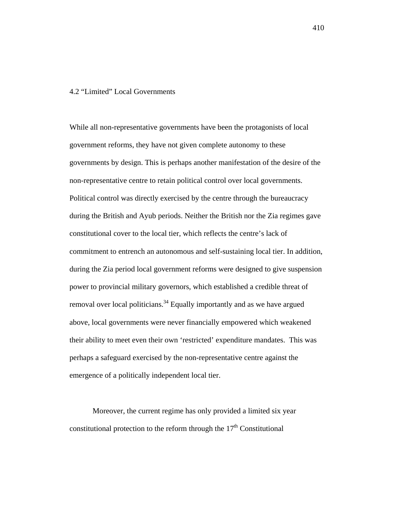# 4.2 "Limited" Local Governments

While all non-representative governments have been the protagonists of local government reforms, they have not given complete autonomy to these governments by design. This is perhaps another manifestation of the desire of the non-representative centre to retain political control over local governments. Political control was directly exercised by the centre through the bureaucracy during the British and Ayub periods. Neither the British nor the Zia regimes gave constitutional cover to the local tier, which reflects the centre's lack of commitment to entrench an autonomous and self-sustaining local tier. In addition, during the Zia period local government reforms were designed to give suspension power to provincial military governors, which established a credible threat of removal over local politicians.<sup>34</sup> Equally importantly and as we have argued above, local governments were never financially empowered which weakened their ability to meet even their own 'restricted' expenditure mandates. This was perhaps a safeguard exercised by the non-representative centre against the emergence of a politically independent local tier.

Moreover, the current regime has only provided a limited six year constitutional protection to the reform through the  $17<sup>th</sup>$  Constitutional

410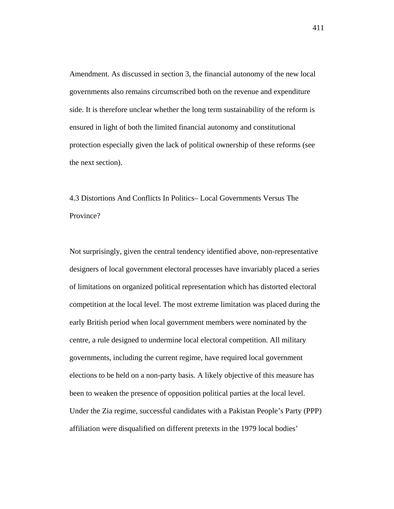Amendment. As discussed in section 3, the financial autonomy of the new local governments also remains circumscribed both on the revenue and expenditure side. It is therefore unclear whether the long term sustainability of the reform is ensured in light of both the limited financial autonomy and constitutional protection especially given the lack of political ownership of these reforms (see the next section).

4.3 Distortions And Conflicts In Politics– Local Governments Versus The Province?

Not surprisingly, given the central tendency identified above, non-representative designers of local government electoral processes have invariably placed a series of limitations on organized political representation which has distorted electoral competition at the local level. The most extreme limitation was placed during the early British period when local government members were nominated by the centre, a rule designed to undermine local electoral competition. All military governments, including the current regime, have required local government elections to be held on a non-party basis. A likely objective of this measure has been to weaken the presence of opposition political parties at the local level. Under the Zia regime, successful candidates with a Pakistan People's Party (PPP) affiliation were disqualified on different pretexts in the 1979 local bodies'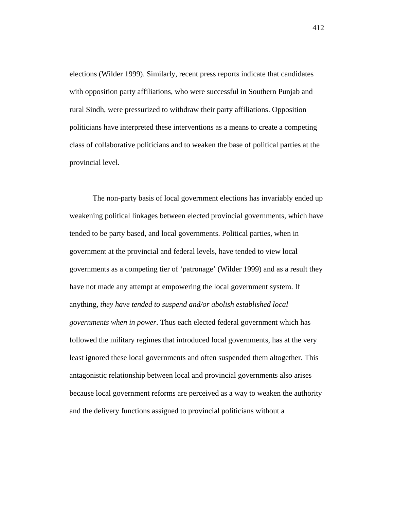elections (Wilder 1999). Similarly, recent press reports indicate that candidates with opposition party affiliations, who were successful in Southern Punjab and rural Sindh, were pressurized to withdraw their party affiliations. Opposition politicians have interpreted these interventions as a means to create a competing class of collaborative politicians and to weaken the base of political parties at the provincial level.

The non-party basis of local government elections has invariably ended up weakening political linkages between elected provincial governments, which have tended to be party based, and local governments. Political parties, when in government at the provincial and federal levels, have tended to view local governments as a competing tier of 'patronage' (Wilder 1999) and as a result they have not made any attempt at empowering the local government system. If anything, *they have tended to suspend and/or abolish established local governments when in power*. Thus each elected federal government which has followed the military regimes that introduced local governments, has at the very least ignored these local governments and often suspended them altogether. This antagonistic relationship between local and provincial governments also arises because local government reforms are perceived as a way to weaken the authority and the delivery functions assigned to provincial politicians without a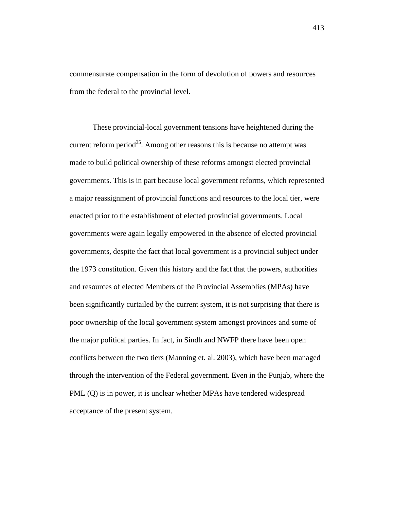commensurate compensation in the form of devolution of powers and resources from the federal to the provincial level.

These provincial-local government tensions have heightened during the current reform period<sup>35</sup>. Among other reasons this is because no attempt was made to build political ownership of these reforms amongst elected provincial governments. This is in part because local government reforms, which represented a major reassignment of provincial functions and resources to the local tier, were enacted prior to the establishment of elected provincial governments. Local governments were again legally empowered in the absence of elected provincial governments, despite the fact that local government is a provincial subject under the 1973 constitution. Given this history and the fact that the powers, authorities and resources of elected Members of the Provincial Assemblies (MPAs) have been significantly curtailed by the current system, it is not surprising that there is poor ownership of the local government system amongst provinces and some of the major political parties. In fact, in Sindh and NWFP there have been open conflicts between the two tiers (Manning et. al. 2003), which have been managed through the intervention of the Federal government. Even in the Punjab, where the PML (Q) is in power, it is unclear whether MPAs have tendered widespread acceptance of the present system.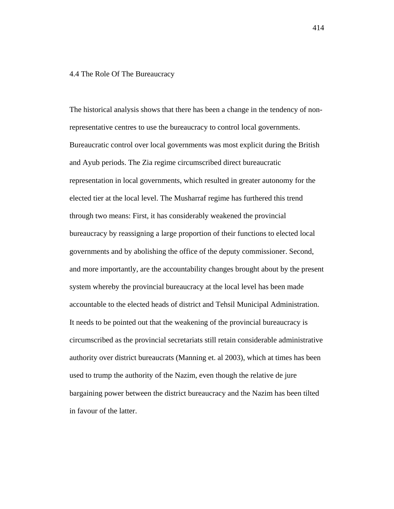#### 4.4 The Role Of The Bureaucracy

The historical analysis shows that there has been a change in the tendency of nonrepresentative centres to use the bureaucracy to control local governments. Bureaucratic control over local governments was most explicit during the British and Ayub periods. The Zia regime circumscribed direct bureaucratic representation in local governments, which resulted in greater autonomy for the elected tier at the local level. The Musharraf regime has furthered this trend through two means: First, it has considerably weakened the provincial bureaucracy by reassigning a large proportion of their functions to elected local governments and by abolishing the office of the deputy commissioner. Second, and more importantly, are the accountability changes brought about by the present system whereby the provincial bureaucracy at the local level has been made accountable to the elected heads of district and Tehsil Municipal Administration. It needs to be pointed out that the weakening of the provincial bureaucracy is circumscribed as the provincial secretariats still retain considerable administrative authority over district bureaucrats (Manning et. al 2003), which at times has been used to trump the authority of the Nazim, even though the relative de jure bargaining power between the district bureaucracy and the Nazim has been tilted in favour of the latter.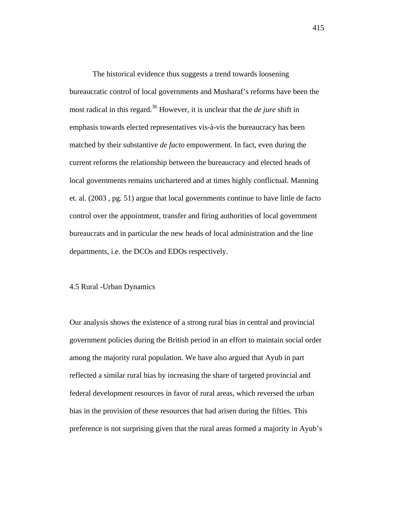The historical evidence thus suggests a trend towards loosening bureaucratic control of local governments and Musharaf's reforms have been the most radical in this regard.<sup>36</sup> However, it is unclear that the *de jure* shift in emphasis towards elected representatives vis-à-vis the bureaucracy has been matched by their substantive *de facto* empowerment. In fact, even during the current reforms the relationship between the bureaucracy and elected heads of local governments remains unchartered and at times highly conflictual. Manning et. al. (2003 , pg. 51) argue that local governments continue to have little de facto control over the appointment, transfer and firing authorities of local government bureaucrats and in particular the new heads of local administration and the line departments, i.e. the DCOs and EDOs respectively.

# 4.5 Rural -Urban Dynamics

Our analysis shows the existence of a strong rural bias in central and provincial government policies during the British period in an effort to maintain social order among the majority rural population. We have also argued that Ayub in part reflected a similar rural bias by increasing the share of targeted provincial and federal development resources in favor of rural areas, which reversed the urban bias in the provision of these resources that had arisen during the fifties. This preference is not surprising given that the rural areas formed a majority in Ayub's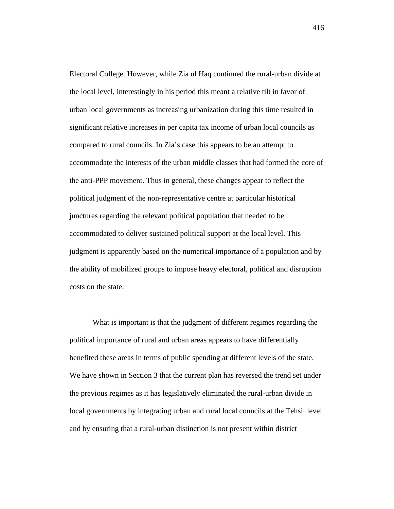Electoral College. However, while Zia ul Haq continued the rural-urban divide at the local level, interestingly in his period this meant a relative tilt in favor of urban local governments as increasing urbanization during this time resulted in significant relative increases in per capita tax income of urban local councils as compared to rural councils. In Zia's case this appears to be an attempt to accommodate the interests of the urban middle classes that had formed the core of the anti-PPP movement. Thus in general, these changes appear to reflect the political judgment of the non-representative centre at particular historical junctures regarding the relevant political population that needed to be accommodated to deliver sustained political support at the local level. This judgment is apparently based on the numerical importance of a population and by the ability of mobilized groups to impose heavy electoral, political and disruption costs on the state.

What is important is that the judgment of different regimes regarding the political importance of rural and urban areas appears to have differentially benefited these areas in terms of public spending at different levels of the state. We have shown in Section 3 that the current plan has reversed the trend set under the previous regimes as it has legislatively eliminated the rural-urban divide in local governments by integrating urban and rural local councils at the Tehsil level and by ensuring that a rural-urban distinction is not present within district

416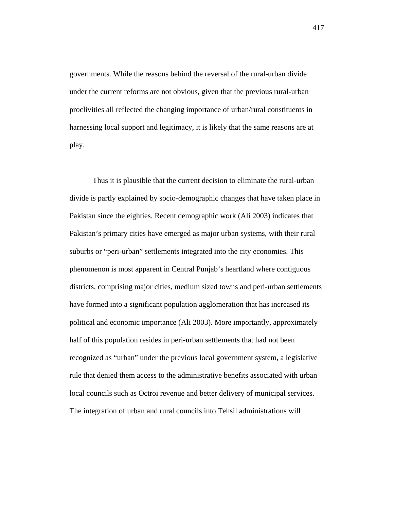governments. While the reasons behind the reversal of the rural-urban divide under the current reforms are not obvious, given that the previous rural-urban proclivities all reflected the changing importance of urban/rural constituents in harnessing local support and legitimacy, it is likely that the same reasons are at play.

Thus it is plausible that the current decision to eliminate the rural-urban divide is partly explained by socio-demographic changes that have taken place in Pakistan since the eighties. Recent demographic work (Ali 2003) indicates that Pakistan's primary cities have emerged as major urban systems, with their rural suburbs or "peri-urban" settlements integrated into the city economies. This phenomenon is most apparent in Central Punjab's heartland where contiguous districts, comprising major cities, medium sized towns and peri-urban settlements have formed into a significant population agglomeration that has increased its political and economic importance (Ali 2003). More importantly, approximately half of this population resides in peri-urban settlements that had not been recognized as "urban" under the previous local government system, a legislative rule that denied them access to the administrative benefits associated with urban local councils such as Octroi revenue and better delivery of municipal services. The integration of urban and rural councils into Tehsil administrations will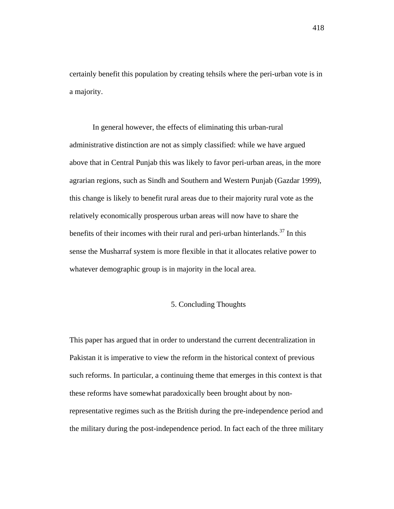certainly benefit this population by creating tehsils where the peri-urban vote is in a majority.

In general however, the effects of eliminating this urban-rural administrative distinction are not as simply classified: while we have argued above that in Central Punjab this was likely to favor peri-urban areas, in the more agrarian regions, such as Sindh and Southern and Western Punjab (Gazdar 1999), this change is likely to benefit rural areas due to their majority rural vote as the relatively economically prosperous urban areas will now have to share the benefits of their incomes with their rural and peri-urban hinterlands.<sup>37</sup> In this sense the Musharraf system is more flexible in that it allocates relative power to whatever demographic group is in majority in the local area.

#### 5. Concluding Thoughts

This paper has argued that in order to understand the current decentralization in Pakistan it is imperative to view the reform in the historical context of previous such reforms. In particular, a continuing theme that emerges in this context is that these reforms have somewhat paradoxically been brought about by nonrepresentative regimes such as the British during the pre-independence period and the military during the post-independence period. In fact each of the three military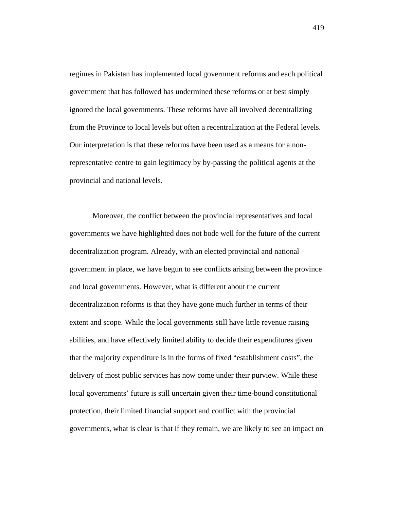regimes in Pakistan has implemented local government reforms and each political government that has followed has undermined these reforms or at best simply ignored the local governments. These reforms have all involved decentralizing from the Province to local levels but often a recentralization at the Federal levels. Our interpretation is that these reforms have been used as a means for a nonrepresentative centre to gain legitimacy by by-passing the political agents at the provincial and national levels.

Moreover, the conflict between the provincial representatives and local governments we have highlighted does not bode well for the future of the current decentralization program. Already, with an elected provincial and national government in place, we have begun to see conflicts arising between the province and local governments. However, what is different about the current decentralization reforms is that they have gone much further in terms of their extent and scope. While the local governments still have little revenue raising abilities, and have effectively limited ability to decide their expenditures given that the majority expenditure is in the forms of fixed "establishment costs", the delivery of most public services has now come under their purview. While these local governments' future is still uncertain given their time-bound constitutional protection, their limited financial support and conflict with the provincial governments, what is clear is that if they remain, we are likely to see an impact on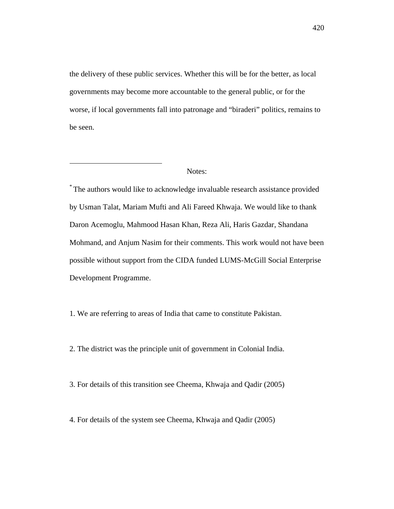the delivery of these public services. Whether this will be for the better, as local governments may become more accountable to the general public, or for the worse, if local governments fall into patronage and "biraderi" politics, remains to be seen.

 $\overline{a}$ 

\* The authors would like to acknowledge invaluable research assistance provided by Usman Talat, Mariam Mufti and Ali Fareed Khwaja. We would like to thank Daron Acemoglu, Mahmood Hasan Khan, Reza Ali, Haris Gazdar, Shandana Mohmand, and Anjum Nasim for their comments. This work would not have been possible without support from the CIDA funded LUMS-McGill Social Enterprise Development Programme.

1. We are referring to areas of India that came to constitute Pakistan.

2. The district was the principle unit of government in Colonial India.

- 3. For details of this transition see Cheema, Khwaja and Qadir (2005)
- 4. For details of the system see Cheema, Khwaja and Qadir (2005)

Notes: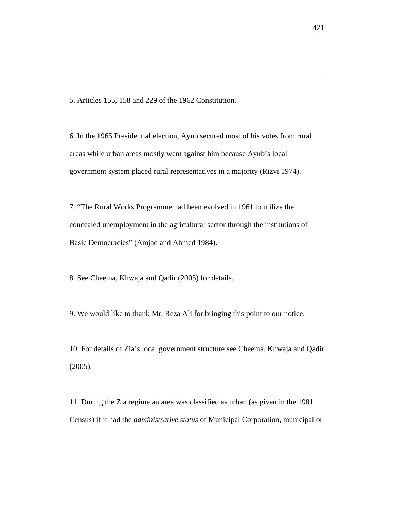5. Articles 155, 158 and 229 of the 1962 Constitution.

 $\overline{a}$ 

6. In the 1965 Presidential election, Ayub secured most of his votes from rural areas while urban areas mostly went against him because Ayub's local government system placed rural representatives in a majority (Rizvi 1974).

7. "The Rural Works Programme had been evolved in 1961 to utilize the concealed unemployment in the agricultural sector through the institutions of Basic Democracies" (Amjad and Ahmed 1984).

8. See Cheema, Khwaja and Qadir (2005) for details.

9. We would like to thank Mr. Reza Ali for bringing this point to our notice.

10. For details of Zia's local government structure see Cheema, Khwaja and Qadir (2005).

11. During the Zia regime an area was classified as urban (as given in the 1981 Census) if it had the *administrative status* of Municipal Corporation, municipal or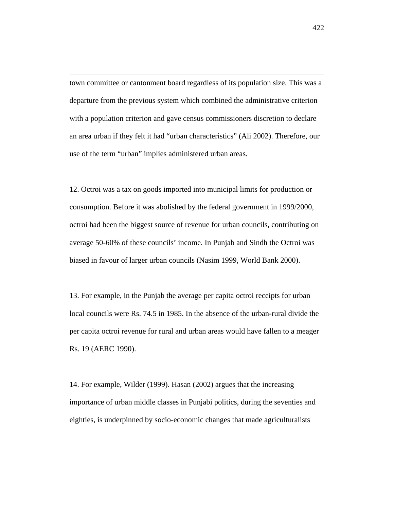town committee or cantonment board regardless of its population size. This was a departure from the previous system which combined the administrative criterion with a population criterion and gave census commissioners discretion to declare an area urban if they felt it had "urban characteristics" (Ali 2002). Therefore, our use of the term "urban" implies administered urban areas.

 $\overline{a}$ 

12. Octroi was a tax on goods imported into municipal limits for production or consumption. Before it was abolished by the federal government in 1999/2000, octroi had been the biggest source of revenue for urban councils, contributing on average 50-60% of these councils' income. In Punjab and Sindh the Octroi was biased in favour of larger urban councils (Nasim 1999, World Bank 2000).

13. For example, in the Punjab the average per capita octroi receipts for urban local councils were Rs. 74.5 in 1985. In the absence of the urban-rural divide the per capita octroi revenue for rural and urban areas would have fallen to a meager Rs. 19 (AERC 1990).

14. For example, Wilder (1999). Hasan (2002) argues that the increasing importance of urban middle classes in Punjabi politics, during the seventies and eighties, is underpinned by socio-economic changes that made agriculturalists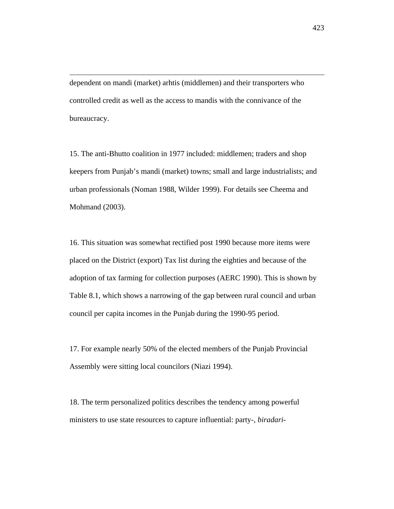dependent on mandi (market) arhtis (middlemen) and their transporters who controlled credit as well as the access to mandis with the connivance of the bureaucracy.

 $\overline{a}$ 

15. The anti-Bhutto coalition in 1977 included: middlemen; traders and shop keepers from Punjab's mandi (market) towns; small and large industrialists; and urban professionals (Noman 1988, Wilder 1999). For details see Cheema and Mohmand (2003).

16. This situation was somewhat rectified post 1990 because more items were placed on the District (export) Tax list during the eighties and because of the adoption of tax farming for collection purposes (AERC 1990). This is shown by Table 8.1, which shows a narrowing of the gap between rural council and urban council per capita incomes in the Punjab during the 1990-95 period.

17. For example nearly 50% of the elected members of the Punjab Provincial Assembly were sitting local councilors (Niazi 1994).

18. The term personalized politics describes the tendency among powerful ministers to use state resources to capture influential: party-, *biradari-*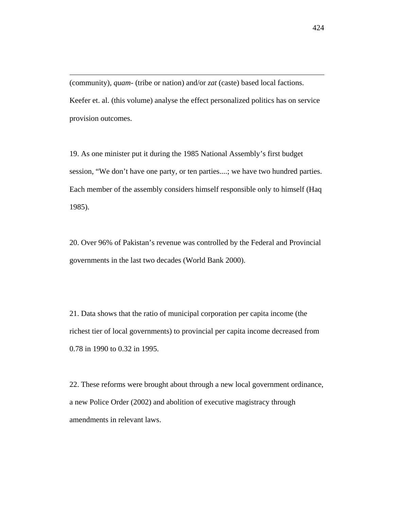(community), *quam-* (tribe or nation) and/or *zat* (caste) based local factions. Keefer et. al. (this volume) analyse the effect personalized politics has on service provision outcomes.

 $\overline{a}$ 

19. As one minister put it during the 1985 National Assembly's first budget session, "We don't have one party, or ten parties....; we have two hundred parties. Each member of the assembly considers himself responsible only to himself (Haq 1985).

20. Over 96% of Pakistan's revenue was controlled by the Federal and Provincial governments in the last two decades (World Bank 2000).

21. Data shows that the ratio of municipal corporation per capita income (the richest tier of local governments) to provincial per capita income decreased from 0.78 in 1990 to 0.32 in 1995.

22. These reforms were brought about through a new local government ordinance, a new Police Order (2002) and abolition of executive magistracy through amendments in relevant laws.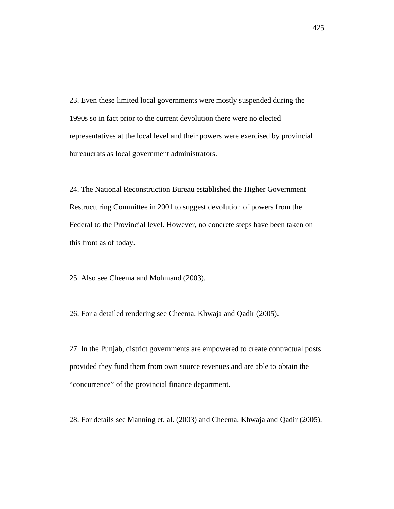23. Even these limited local governments were mostly suspended during the 1990s so in fact prior to the current devolution there were no elected representatives at the local level and their powers were exercised by provincial bureaucrats as local government administrators.

24. The National Reconstruction Bureau established the Higher Government Restructuring Committee in 2001 to suggest devolution of powers from the Federal to the Provincial level. However, no concrete steps have been taken on this front as of today.

25. Also see Cheema and Mohmand (2003).

 $\overline{a}$ 

26. For a detailed rendering see Cheema, Khwaja and Qadir (2005).

27. In the Punjab, district governments are empowered to create contractual posts provided they fund them from own source revenues and are able to obtain the "concurrence" of the provincial finance department.

28. For details see Manning et. al. (2003) and Cheema, Khwaja and Qadir (2005).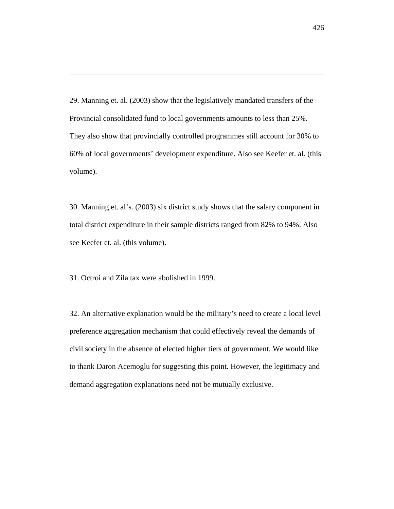29. Manning et. al. (2003) show that the legislatively mandated transfers of the Provincial consolidated fund to local governments amounts to less than 25%. They also show that provincially controlled programmes still account for 30% to 60% of local governments' development expenditure. Also see Keefer et. al. (this volume).

30. Manning et. al's. (2003) six district study shows that the salary component in total district expenditure in their sample districts ranged from 82% to 94%. Also see Keefer et. al. (this volume).

31. Octroi and Zila tax were abolished in 1999.

 $\overline{a}$ 

32. An alternative explanation would be the military's need to create a local level preference aggregation mechanism that could effectively reveal the demands of civil society in the absence of elected higher tiers of government. We would like to thank Daron Acemoglu for suggesting this point. However, the legitimacy and demand aggregation explanations need not be mutually exclusive.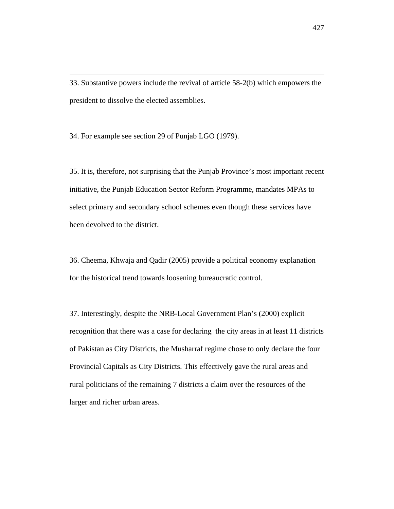33. Substantive powers include the revival of article 58-2(b) which empowers the president to dissolve the elected assemblies.

34. For example see section 29 of Punjab LGO (1979).

 $\overline{a}$ 

35. It is, therefore, not surprising that the Punjab Province's most important recent initiative, the Punjab Education Sector Reform Programme, mandates MPAs to select primary and secondary school schemes even though these services have been devolved to the district.

36. Cheema, Khwaja and Qadir (2005) provide a political economy explanation for the historical trend towards loosening bureaucratic control.

37. Interestingly, despite the NRB-Local Government Plan's (2000) explicit recognition that there was a case for declaring the city areas in at least 11 districts of Pakistan as City Districts, the Musharraf regime chose to only declare the four Provincial Capitals as City Districts. This effectively gave the rural areas and rural politicians of the remaining 7 districts a claim over the resources of the larger and richer urban areas.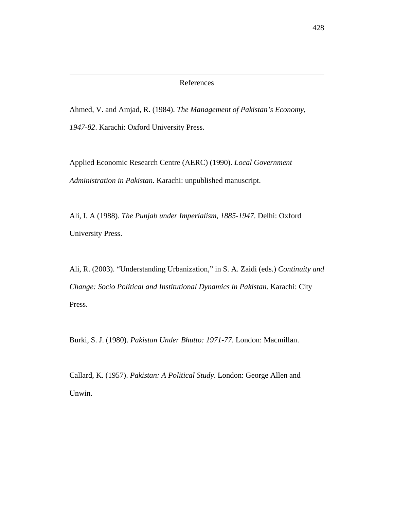Ahmed, V. and Amjad, R. (1984). *The Management of Pakistan's Economy, 1947-82*. Karachi: Oxford University Press.

 $\overline{a}$ 

Applied Economic Research Centre (AERC) (1990). *Local Government Administration in Pakistan*. Karachi: unpublished manuscript.

Ali, I. A (1988). *The Punjab under Imperialism, 1885-1947*. Delhi: Oxford University Press.

Ali, R. (2003). "Understanding Urbanization," in S. A. Zaidi (eds.) *Continuity and Change: Socio Political and Institutional Dynamics in Pakistan*. Karachi: City Press.

Burki, S. J. (1980). *Pakistan Under Bhutto: 1971-77*. London: Macmillan.

Callard, K. (1957). *Pakistan: A Political Study*. London: George Allen and Unwin.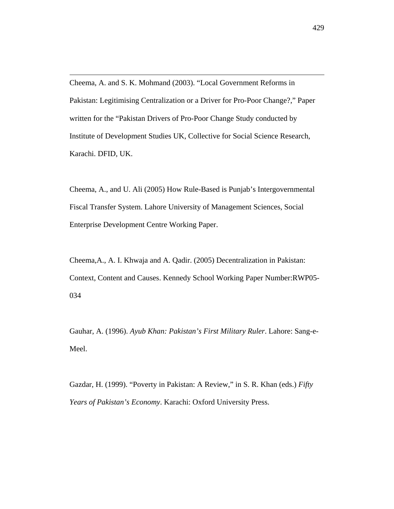Cheema, A. and S. K. Mohmand (2003). "Local Government Reforms in Pakistan: Legitimising Centralization or a Driver for Pro-Poor Change?," Paper written for the "Pakistan Drivers of Pro-Poor Change Study conducted by Institute of Development Studies UK, Collective for Social Science Research, Karachi. DFID, UK.

 $\overline{a}$ 

Cheema, A., and U. Ali (2005) How Rule-Based is Punjab's Intergovernmental Fiscal Transfer System. Lahore University of Management Sciences, Social Enterprise Development Centre Working Paper.

Cheema,A., A. I. Khwaja and A. Qadir. (2005) Decentralization in Pakistan: Context, Content and Causes. Kennedy School Working Paper Number:RWP05- 034

Gauhar, A. (1996). *Ayub Khan: Pakistan's First Military Ruler*. Lahore: Sang-e-Meel.

Gazdar, H. (1999). "Poverty in Pakistan: A Review," in S. R. Khan (eds.) *Fifty Years of Pakistan's Economy*. Karachi: Oxford University Press.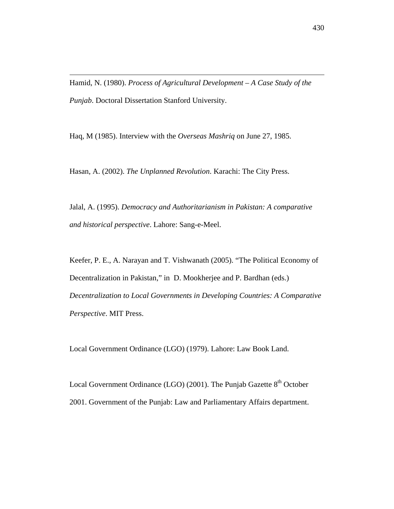Hamid, N. (1980). *Process of Agricultural Development – A Case Study of the Punjab*. Doctoral Dissertation Stanford University.

Haq, M (1985). Interview with the *Overseas Mashriq* on June 27, 1985.

 $\overline{a}$ 

Hasan, A. (2002). *The Unplanned Revolution*. Karachi: The City Press.

Jalal, A. (1995). *Democracy and Authoritarianism in Pakistan: A comparative and historical perspective*. Lahore: Sang-e-Meel.

Keefer, P. E., A. Narayan and T. Vishwanath (2005). "The Political Economy of Decentralization in Pakistan," in D. Mookherjee and P. Bardhan (eds.) *Decentralization to Local Governments in Developing Countries: A Comparative Perspective*. MIT Press.

Local Government Ordinance (LGO) (1979). Lahore: Law Book Land.

Local Government Ordinance (LGO) (2001). The Punjab Gazette 8<sup>th</sup> October 2001. Government of the Punjab: Law and Parliamentary Affairs department.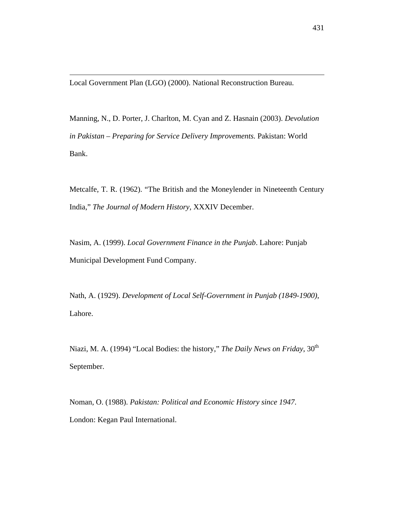Local Government Plan (LGO) (2000). National Reconstruction Bureau.

 $\overline{a}$ 

Manning, N., D. Porter, J. Charlton, M. Cyan and Z. Hasnain (2003). *Devolution in Pakistan – Preparing for Service Delivery Improvements.* Pakistan: World Bank.

Metcalfe, T. R. (1962). "The British and the Moneylender in Nineteenth Century India," *The Journal of Modern History*, XXXIV December.

Nasim, A. (1999). *Local Government Finance in the Punjab*. Lahore: Punjab Municipal Development Fund Company.

Nath, A. (1929). *Development of Local Self-Government in Punjab (1849-1900),* Lahore.

Niazi, M. A. (1994) "Local Bodies: the history," *The Daily News on Friday*, 30<sup>th</sup> September.

Noman, O. (1988). *Pakistan: Political and Economic History since 1947*. London: Kegan Paul International.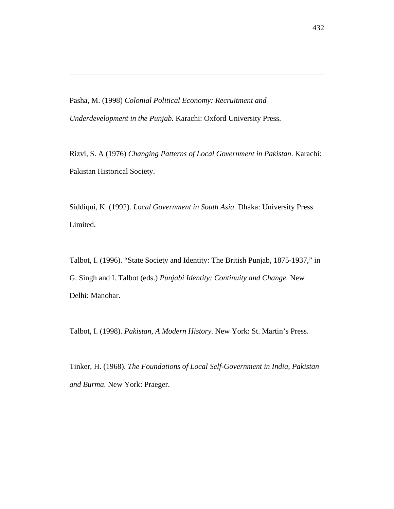Pasha, M. (1998) *Colonial Political Economy: Recruitment and Underdevelopment in the Punjab.* Karachi: Oxford University Press.

 $\overline{a}$ 

Rizvi, S. A (1976) *Changing Patterns of Local Government in Pakistan*. Karachi: Pakistan Historical Society.

Siddiqui, K. (1992). *Local Government in South Asia*. Dhaka: University Press Limited.

Talbot, I. (1996). "State Society and Identity: The British Punjab, 1875-1937," in G. Singh and I. Talbot (eds.) *Punjabi Identity: Continuity and Change.* New Delhi: Manohar.

Talbot, I. (1998). *Pakistan, A Modern History.* New York: St. Martin's Press.

Tinker, H. (1968). *The Foundations of Local Self-Government in India, Pakistan and Burma*. New York: Praeger.